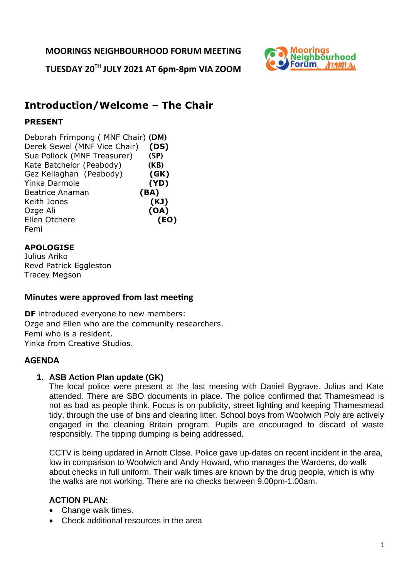**MOORINGS NEIGHBOURHOOD FORUM MEETING**

**TUESDAY 20TH JULY 2021 AT 6pm-8pm VIA ZOOM**



# **Introduction/Welcome – The Chair**

# **PRESENT**

Deborah Frimpong ( MNF Chair) (DM) Derek Sewel (MNF Vice Chair) **(DS)** Sue Pollock (MNF Treasurer) (SP) Kate Batchelor (Peabody) (KB) Gez Kellaghan (Peabody) **(GK)** Yinka Darmole **(YD)** Beatrice Anaman **(BA)** Keith Jones **(KJ)** Ozge Ali **(OA)** Ellen Otchere **(EO)** Femi

# **APOLOGISE**

Julius Ariko Revd Patrick Eggleston Tracey Megson

# **Minutes were approved from last meeting**

**DF** introduced everyone to new members: Ozge and Ellen who are the community researchers. Femi who is a resident. Yinka from Creative Studios.

# **AGENDA**

# **1. ASB Action Plan update (GK)**

The local police were present at the last meeting with Daniel Bygrave. Julius and Kate attended. There are SBO documents in place. The police confirmed that Thamesmead is not as bad as people think. Focus is on publicity, street lighting and keeping Thamesmead tidy, through the use of bins and clearing litter. School boys from Woolwich Poly are actively engaged in the cleaning Britain program. Pupils are encouraged to discard of waste responsibly. The tipping dumping is being addressed.

CCTV is being updated in Arnott Close. Police gave up-dates on recent incident in the area, low in comparison to Woolwich and Andy Howard, who manages the Wardens, do walk about checks in full uniform. Their walk times are known by the drug people, which is why the walks are not working. There are no checks between 9.00pm-1.00am.

# **ACTION PLAN:**

- Change walk times.
- Check additional resources in the area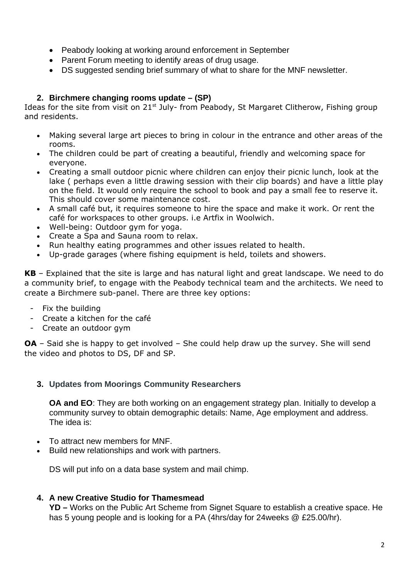- Peabody looking at working around enforcement in September
- Parent Forum meeting to identify areas of drug usage.
- DS suggested sending brief summary of what to share for the MNF newsletter.

# **2. Birchmere changing rooms update – (SP)**

Ideas for the site from visit on 21<sup>st</sup> July- from Peabody, St Margaret Clitherow, Fishing group and residents.

- Making several large art pieces to bring in colour in the entrance and other areas of the rooms.
- The children could be part of creating a beautiful, friendly and welcoming space for everyone.
- Creating a small outdoor picnic where children can enjoy their picnic lunch, look at the lake ( perhaps even a little drawing session with their clip boards) and have a little play on the field. It would only require the school to book and pay a small fee to reserve it. This should cover some maintenance cost.
- A small café but, it requires someone to hire the space and make it work. Or rent the café for workspaces to other groups. i.e Artfix in Woolwich.
- Well-being: Outdoor gym for yoga.
- Create a Spa and Sauna room to relax.
- Run healthy eating programmes and other issues related to health.
- Up-grade garages (where fishing equipment is held, toilets and showers.

**KB** – Explained that the site is large and has natural light and great landscape. We need to do a community brief, to engage with the Peabody technical team and the architects. We need to create a Birchmere sub-panel. There are three key options:

- Fix the building
- Create a kitchen for the café
- Create an outdoor gym

**OA** – Said she is happy to get involved – She could help draw up the survey. She will send the video and photos to DS, DF and SP.

#### **3. Updates from Moorings Community Researchers**

**OA and EO**: They are both working on an engagement strategy plan. Initially to develop a community survey to obtain demographic details: Name, Age employment and address. The idea is:

- To attract new members for MNF.
- Build new relationships and work with partners.

DS will put info on a data base system and mail chimp.

#### **4. A new Creative Studio for Thamesmead**

**YD –** Works on the Public Art Scheme from Signet Square to establish a creative space. He has 5 young people and is looking for a PA (4hrs/day for 24weeks @ £25.00/hr).